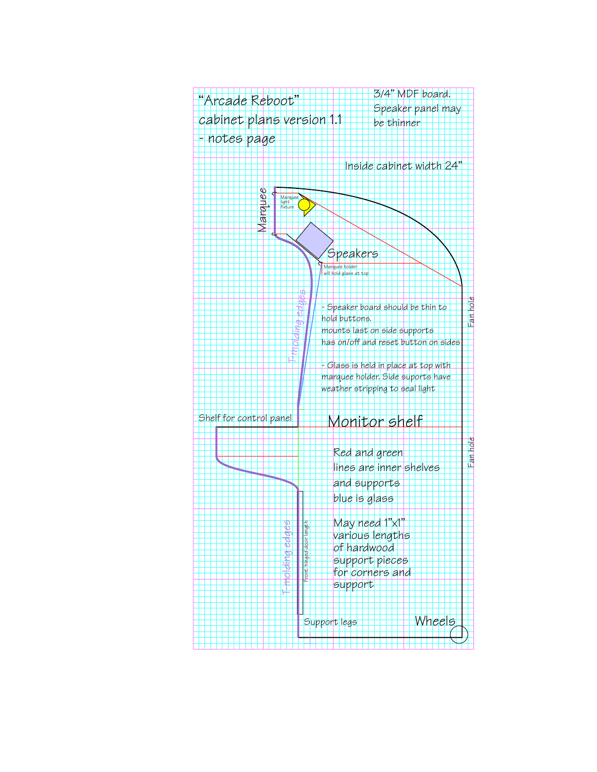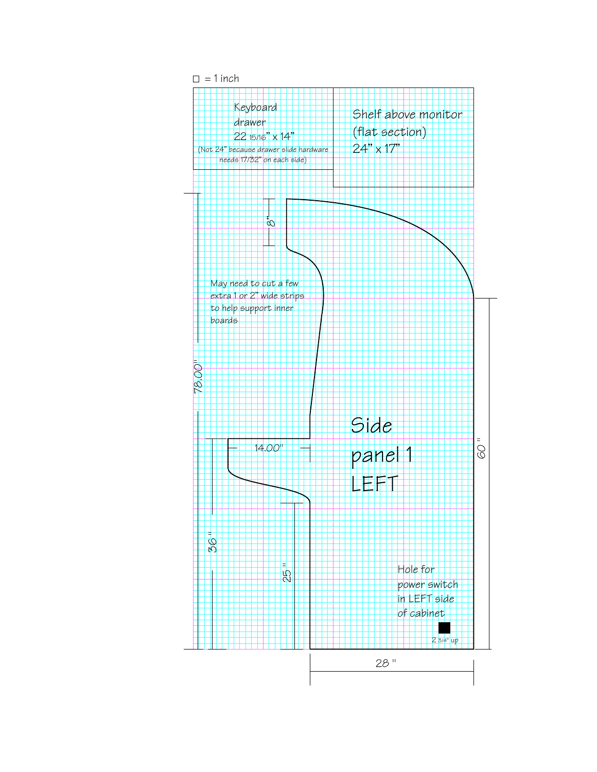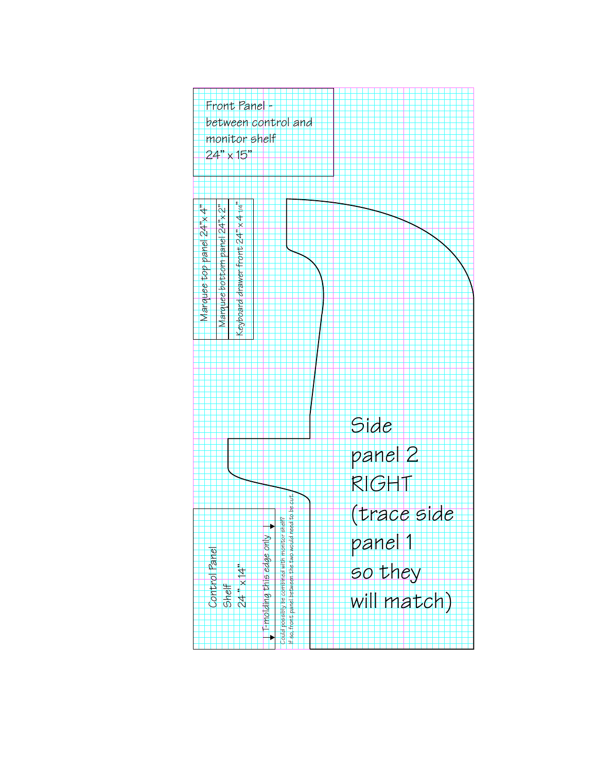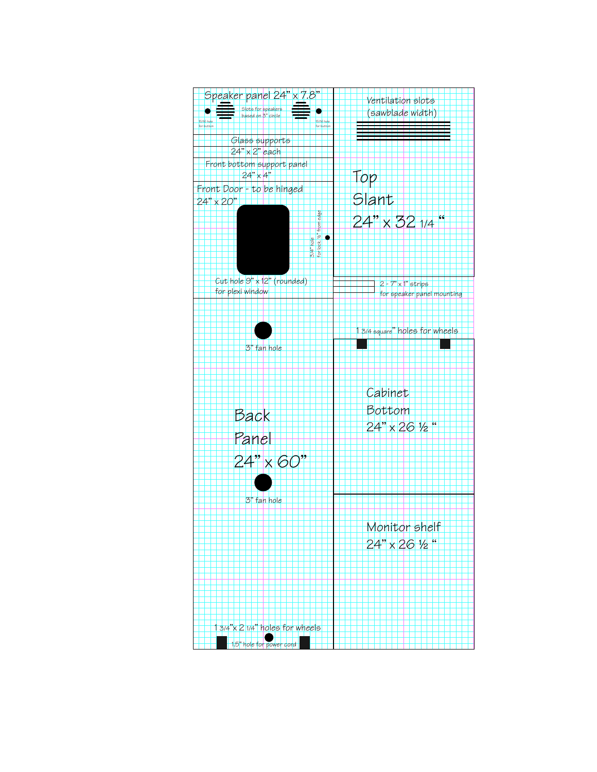